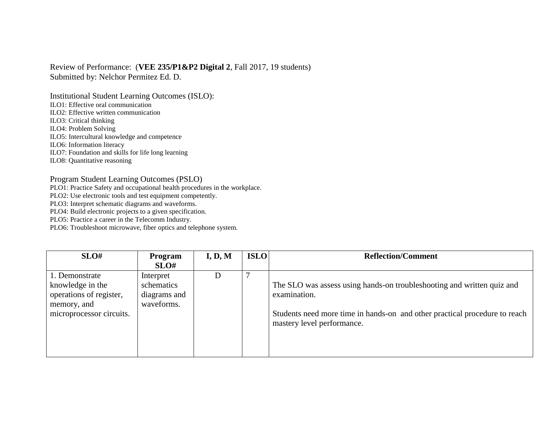Review of Performance: (**VEE 235/P1&P2 Digital 2**, Fall 2017, 19 students) Submitted by: Nelchor Permitez Ed. D.

Institutional Student Learning Outcomes (ISLO):

ILO1: Effective oral communication

ILO2: Effective written communication

ILO3: Critical thinking

ILO4: Problem Solving

ILO5: Intercultural knowledge and competence

ILO6: Information literacy

ILO7: Foundation and skills for life long learning

ILO8: Quantitative reasoning

Program Student Learning Outcomes (PSLO)

PLO1: Practice Safety and occupational health procedures in the workplace.

PLO2: Use electronic tools and test equipment competently.

PLO3: Interpret schematic diagrams and waveforms.

PLO4: Build electronic projects to a given specification.

PLO5: Practice a career in the Telecomm Industry.

PLO6: Troubleshoot microwave, fiber optics and telephone system.

| SLO#                                                                                                     | Program<br>SLO#                                       | I, D, M | <b>ISLO</b> | <b>Reflection/Comment</b>                                                                                                                                                                          |
|----------------------------------------------------------------------------------------------------------|-------------------------------------------------------|---------|-------------|----------------------------------------------------------------------------------------------------------------------------------------------------------------------------------------------------|
| 1. Demonstrate<br>knowledge in the<br>operations of register,<br>memory, and<br>microprocessor circuits. | Interpret<br>schematics<br>diagrams and<br>waveforms. | D       |             | The SLO was assess using hands-on troubleshooting and written quiz and<br>examination.<br>Students need more time in hands-on and other practical procedure to reach<br>mastery level performance. |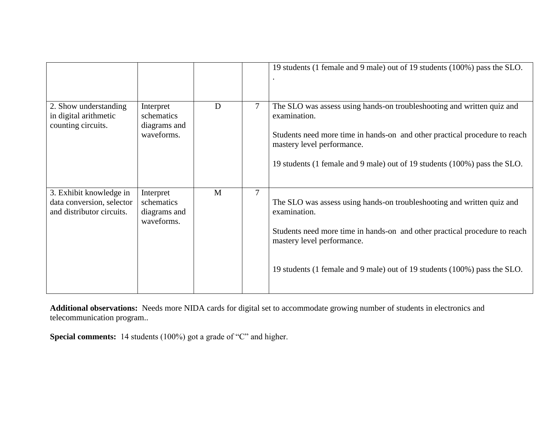| 2. Show understanding<br>in digital arithmetic<br>counting circuits.              | Interpret<br>schematics<br>diagrams and<br>waveforms. | D | 7 | 19 students (1 female and 9 male) out of 19 students (100%) pass the SLO.<br>The SLO was assess using hands-on troubleshooting and written quiz and<br>examination.<br>Students need more time in hands-on and other practical procedure to reach<br>mastery level performance.<br>19 students (1 female and 9 male) out of 19 students (100%) pass the SLO. |
|-----------------------------------------------------------------------------------|-------------------------------------------------------|---|---|--------------------------------------------------------------------------------------------------------------------------------------------------------------------------------------------------------------------------------------------------------------------------------------------------------------------------------------------------------------|
| 3. Exhibit knowledge in<br>data conversion, selector<br>and distributor circuits. | Interpret<br>schematics<br>diagrams and<br>waveforms. | M | 7 | The SLO was assess using hands-on troubleshooting and written quiz and<br>examination.<br>Students need more time in hands-on and other practical procedure to reach<br>mastery level performance.<br>19 students (1 female and 9 male) out of 19 students (100%) pass the SLO.                                                                              |

**Additional observations:** Needs more NIDA cards for digital set to accommodate growing number of students in electronics and telecommunication program..

**Special comments:** 14 students (100%) got a grade of "C" and higher.